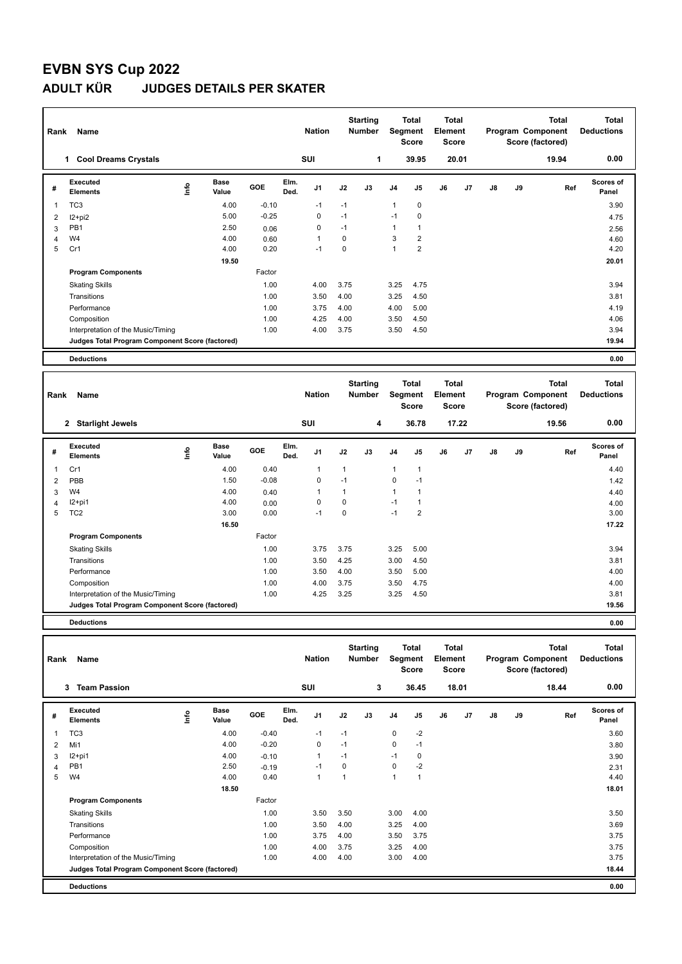## **EVBN SYS Cup 2022 ADULT KÜR JUDGES DETAILS PER SKATER**

| Rank | Name                                            |      |                      |            |              | <b>Nation</b>  |      | <b>Starting</b><br><b>Number</b> |                | <b>Total</b><br>Segment<br><b>Score</b> | <b>Total</b><br>Element<br><b>Score</b> |       |    |    | <b>Total</b><br>Program Component<br>Score (factored) | <b>Total</b><br><b>Deductions</b> |
|------|-------------------------------------------------|------|----------------------|------------|--------------|----------------|------|----------------------------------|----------------|-----------------------------------------|-----------------------------------------|-------|----|----|-------------------------------------------------------|-----------------------------------|
|      | <b>Cool Dreams Crystals</b><br>1.               |      |                      |            |              | <b>SUI</b>     |      | 1                                |                | 39.95                                   |                                         | 20.01 |    |    | 19.94                                                 | 0.00                              |
| #    | Executed<br><b>Elements</b>                     | ١nfo | <b>Base</b><br>Value | <b>GOE</b> | Elm.<br>Ded. | J <sub>1</sub> | J2   | J3                               | J <sub>4</sub> | J <sub>5</sub>                          | J6                                      | J7    | J8 | J9 | Ref                                                   | Scores of<br>Panel                |
| 1    | TC <sub>3</sub>                                 |      | 4.00                 | $-0.10$    |              | $-1$           | $-1$ |                                  | 1              | $\mathbf 0$                             |                                         |       |    |    |                                                       | 3.90                              |
| 2    | I2+pi2                                          |      | 5.00                 | $-0.25$    |              | $\mathbf 0$    | $-1$ |                                  | $-1$           | 0                                       |                                         |       |    |    |                                                       | 4.75                              |
| 3    | PB <sub>1</sub>                                 |      | 2.50                 | 0.06       |              | 0              | $-1$ |                                  | 1              |                                         |                                         |       |    |    |                                                       | 2.56                              |
| 4    | W4                                              |      | 4.00                 | 0.60       |              | $\overline{1}$ | 0    |                                  | 3              | $\overline{\mathbf{c}}$                 |                                         |       |    |    |                                                       | 4.60                              |
| 5    | Cr1                                             |      | 4.00                 | 0.20       |              | $-1$           | 0    |                                  | 1              | $\overline{2}$                          |                                         |       |    |    |                                                       | 4.20                              |
|      |                                                 |      | 19.50                |            |              |                |      |                                  |                |                                         |                                         |       |    |    |                                                       | 20.01                             |
|      | <b>Program Components</b>                       |      |                      | Factor     |              |                |      |                                  |                |                                         |                                         |       |    |    |                                                       |                                   |
|      | <b>Skating Skills</b>                           |      |                      | 1.00       |              | 4.00           | 3.75 |                                  | 3.25           | 4.75                                    |                                         |       |    |    |                                                       | 3.94                              |
|      | Transitions                                     |      |                      | 1.00       |              | 3.50           | 4.00 |                                  | 3.25           | 4.50                                    |                                         |       |    |    |                                                       | 3.81                              |
|      | Performance                                     |      |                      | 1.00       |              | 3.75           | 4.00 |                                  | 4.00           | 5.00                                    |                                         |       |    |    |                                                       | 4.19                              |
|      | Composition                                     |      |                      | 1.00       |              | 4.25           | 4.00 |                                  | 3.50           | 4.50                                    |                                         |       |    |    |                                                       | 4.06                              |
|      | Interpretation of the Music/Timing              |      |                      | 1.00       |              | 4.00           | 3.75 |                                  | 3.50           | 4.50                                    |                                         |       |    |    |                                                       | 3.94                              |
|      | Judges Total Program Component Score (factored) |      |                      |            |              |                |      |                                  |                |                                         |                                         |       |    |    |                                                       | 19.94                             |
|      | <b>Deductions</b>                               |      |                      |            |              |                |      |                                  |                |                                         |                                         |       |    |    |                                                       | 0.00                              |
|      |                                                 |      |                      |            |              |                |      | <b>Starting</b>                  |                | <b>Total</b>                            | <b>Total</b>                            |       |    |    | <b>Total</b>                                          | <b>Total</b>                      |

| Name<br>Rank |                                                 |      |               |            |              | <b>Nation</b>  |      | <b>Number</b> |                | Segment<br>Score |    | Element<br>Score |    |    | Program Component<br>Score (factored) | <b>Deductions</b>  |
|--------------|-------------------------------------------------|------|---------------|------------|--------------|----------------|------|---------------|----------------|------------------|----|------------------|----|----|---------------------------------------|--------------------|
|              | 2 Starlight Jewels                              |      |               |            |              | SUI            |      | 4             |                | 36.78            |    | 17.22            |    |    | 19.56                                 | 0.00               |
| #            | Executed<br><b>Elements</b>                     | ١nf٥ | Base<br>Value | <b>GOE</b> | Elm.<br>Ded. | J <sub>1</sub> | J2   | J3            | J <sub>4</sub> | J5               | J6 | J7               | J8 | J9 | Ref                                   | Scores of<br>Panel |
| 1            | Cr1                                             |      | 4.00          | 0.40       |              | 1              | 1    |               | 1              | 1                |    |                  |    |    |                                       | 4.40               |
| 2            | PBB                                             |      | 1.50          | $-0.08$    |              | 0              | $-1$ |               | 0              | $-1$             |    |                  |    |    |                                       | 1.42               |
| 3            | W4                                              |      | 4.00          | 0.40       |              | 1              | 1    |               | $\mathbf{1}$   | 1                |    |                  |    |    |                                       | 4.40               |
| 4            | I2+pi1                                          |      | 4.00          | 0.00       |              | 0              | 0    |               | $-1$           | 1                |    |                  |    |    |                                       | 4.00               |
| 5            | TC <sub>2</sub>                                 |      | 3.00          | 0.00       |              | $-1$           | 0    |               | $-1$           | 2                |    |                  |    |    |                                       | 3.00               |
|              |                                                 |      | 16.50         |            |              |                |      |               |                |                  |    |                  |    |    |                                       | 17.22              |
|              | <b>Program Components</b>                       |      |               | Factor     |              |                |      |               |                |                  |    |                  |    |    |                                       |                    |
|              | <b>Skating Skills</b>                           |      |               | 1.00       |              | 3.75           | 3.75 |               | 3.25           | 5.00             |    |                  |    |    |                                       | 3.94               |
|              | Transitions                                     |      |               | 1.00       |              | 3.50           | 4.25 |               | 3.00           | 4.50             |    |                  |    |    |                                       | 3.81               |
|              | Performance                                     |      |               | 1.00       |              | 3.50           | 4.00 |               | 3.50           | 5.00             |    |                  |    |    |                                       | 4.00               |
|              | Composition                                     |      |               | 1.00       |              | 4.00           | 3.75 |               | 3.50           | 4.75             |    |                  |    |    |                                       | 4.00               |
|              | Interpretation of the Music/Timing              |      |               | 1.00       |              | 4.25           | 3.25 |               | 3.25           | 4.50             |    |                  |    |    |                                       | 3.81               |
|              | Judges Total Program Component Score (factored) |      |               |            |              |                |      |               |                |                  |    |                  |    |    |                                       | 19.56              |
|              |                                                 |      |               |            |              |                |      |               |                |                  |    |                  |    |    |                                       |                    |

**Deductions 0.00**

| Rank | Name                                            |      |                      |         |              | <b>Nation</b>  |      | <b>Starting</b><br><b>Number</b> |                | Total<br>Segment<br>Score | <b>Total</b><br>Element<br><b>Score</b> |       |    |    | Total<br>Program Component<br>Score (factored) | Total<br><b>Deductions</b> |
|------|-------------------------------------------------|------|----------------------|---------|--------------|----------------|------|----------------------------------|----------------|---------------------------|-----------------------------------------|-------|----|----|------------------------------------------------|----------------------------|
|      | <b>Team Passion</b><br>3                        |      |                      |         |              | SUI            |      | 3                                |                | 36.45                     |                                         | 18.01 |    |    | 18.44                                          | 0.00                       |
| #    | Executed<br><b>Elements</b>                     | lnfo | <b>Base</b><br>Value | GOE     | Elm.<br>Ded. | J <sub>1</sub> | J2   | J3                               | J <sub>4</sub> | J5                        | J6                                      | J7    | J8 | J9 | Ref                                            | Scores of<br>Panel         |
|      | TC <sub>3</sub>                                 |      | 4.00                 | $-0.40$ |              | $-1$           | $-1$ |                                  | 0              | $-2$                      |                                         |       |    |    |                                                | 3.60                       |
| 2    | Mi1                                             |      | 4.00                 | $-0.20$ |              | 0              | $-1$ |                                  | 0              | $-1$                      |                                         |       |    |    |                                                | 3.80                       |
| 3    | I2+pi1                                          |      | 4.00                 | $-0.10$ |              | 1              | $-1$ |                                  | $-1$           | 0                         |                                         |       |    |    |                                                | 3.90                       |
| 4    | PB <sub>1</sub>                                 |      | 2.50                 | $-0.19$ |              | $-1$           | 0    |                                  | 0              | $-2$                      |                                         |       |    |    |                                                | 2.31                       |
| 5    | W4                                              |      | 4.00                 | 0.40    |              | $\mathbf{1}$   |      |                                  | 1              | $\overline{1}$            |                                         |       |    |    |                                                | 4.40                       |
|      |                                                 |      | 18.50                |         |              |                |      |                                  |                |                           |                                         |       |    |    |                                                | 18.01                      |
|      | <b>Program Components</b>                       |      |                      | Factor  |              |                |      |                                  |                |                           |                                         |       |    |    |                                                |                            |
|      | <b>Skating Skills</b>                           |      |                      | 1.00    |              | 3.50           | 3.50 |                                  | 3.00           | 4.00                      |                                         |       |    |    |                                                | 3.50                       |
|      | Transitions                                     |      |                      | 1.00    |              | 3.50           | 4.00 |                                  | 3.25           | 4.00                      |                                         |       |    |    |                                                | 3.69                       |
|      | Performance                                     |      |                      | 1.00    |              | 3.75           | 4.00 |                                  | 3.50           | 3.75                      |                                         |       |    |    |                                                | 3.75                       |
|      | Composition                                     |      |                      | 1.00    |              | 4.00           | 3.75 |                                  | 3.25           | 4.00                      |                                         |       |    |    |                                                | 3.75                       |
|      | Interpretation of the Music/Timing              |      |                      | 1.00    |              | 4.00           | 4.00 |                                  | 3.00           | 4.00                      |                                         |       |    |    |                                                | 3.75                       |
|      | Judges Total Program Component Score (factored) |      |                      |         |              |                |      |                                  |                |                           |                                         |       |    |    |                                                | 18.44                      |
|      | <b>Deductions</b>                               |      |                      |         |              |                |      |                                  |                |                           |                                         |       |    |    |                                                | 0.00                       |